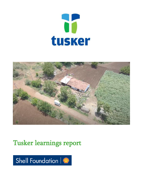



# Tusker learnings report

Shell Foundation |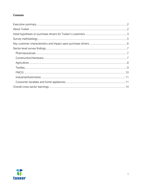### Contents

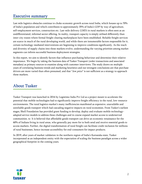## Executive summary

Last mile logistics obstacles continue to choke economic growth across rural India, which houses up to 70% of India's population and which contributes to approximately 35% of India's GDP by way of agriculture, self-employment services, construction etc. Last-mile delivery (LMD) in rural markets is often seen as an undifferentiated, informal sector offering. In reality, transport capacity is simply utilised differently than inter-city routes where formal freight clearing marketplaces have been established. Reliable freight services are scarce in much of the rural developing world, and while there are innumerable factors responsible for it, certain technology-mediated interventions are beginning to improve conditions significantly. As the reach and diversity of supply chains into these markets evolve, understanding the varying priorities among market segments can inform successful business deployment strategies.

In this report, we aim to identify factors that influence purchasing behaviour and determine their relative importance. We begin by taking the business data of Tusker Transport (order transactions and associated metadata) as primary sources to examine along with customer interviews. The study draws on multiple years of correlating business trends and marketing heuristics and our strongest conclusions are that purchase drivers are more varied than often presumed, and that "low price" is not sufficient as a strategy to approach these markets.

## About Tusker

Tusker Transport was launched in 2016 by Logistimo India Pvt Ltd as a project meant to accelerate the potential that mobile technologies had to significantly improve freight efficiency in the rural, low-resource environments. The rural logistics market's many inefficiencies manifested as expensive, unavailable and unreliable goods transport which had cascading negative impacts on rural economies. From Tusker's earliest stages, Shell Foundation has provided grant funding to develop, deploy and evaluate mobile technologyadapted service models to address these challenges and in course expand market access to underserved communities. to It is believed that affordable goods transport can drive an economic renaissance for the 60% of Indians living in rural areas, who generally pay more for to both send and receive essential goods to access markets. Further, the digital transformation of rural freight can facilitate credit inclusion for millions of rural businesses, hence increase accessibility for end-consumers for impact products.

In 2019, after years of market validation in the northern region of India's Karnataka state, Tusker incorporated as an independent entity with the expectation of scaling the business paradigm across a wider geographical footprint in the coming years.

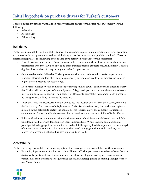## Initial hypothesis on purchase drivers for Tusker's customers

Tusker's initial hypothesis was that the primary purchase drivers for their last-mile customers were the following:

- Reliability
- Accessibility
- Affordability

## Reliability

Tusker defines reliability as their ability to meet the customer expectation of executing deliveries according to the service-level-agreement as well as minimising errors that may not be explicitly stated in it. Tusker's offering encapsulates the following options that drive perceived reliability for the customers:

- Formal invoicing and billing: Tusker automates the generation of these documents unlike informal transporters who typically don't abide by these business process expectations. Additionally, Tusker's digitised format allows for reprinting in case hard copies are lost.
- Guaranteed one-day deliveries: Tusker guarantees this in accordance with market expectations, whereas informal vendors often delay dispatches by several days to allow for their trucks to reach higher utilised capacity for cost savings.
- Deep rural coverage: With a commitment to serving smaller towns, businesses don't need to worry that Tusker will decline part of their shipment. This gives dispatchers the confidence not to have to juggle a multitude of vendors in their daily workflow, or to cancel their customer's orders because no transporter is willing to service the location.
- Track and trace features: Customers are able to see the location and status of their consignment via the Tusker app. Also, in case of misplacement, Tusker is able to internally locate the last registered location in the network to rectify the situation. This security allows the company to guarantee compensation for loss, and in the context of other services stands out as a highly reliable offering.
- Full-truckload priority deliveries: Many businesses require both less-than-full-truckload and fulltruckload priced offerings depending on their shipment type. While Tusker's core operational paradigm is load aggregation, our ability to also book full-capacity loads is important for the strength of our customer partnership. This minimises their need to engage with multiple vendors, and moreover represents a valuable business opportunity in itself.

## Accessibility

Tusker's offering encapsulates the following options that drive perceived accessibility for the customers:

• Proximity & placements of collection points: These are Tusker partner-managed storefronts that are strategically positioned near trading clusters that allow for shippers to drop-off consignments inperson. This is an alternative to requesting a scheduled doorstep pickup or making a longer journey to a Tusker depot.

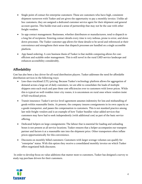- Single point of contact for enterprise customers: These are customers who have high, consistent shipment turnovers with Tusker and are given the opportunity to pay a monthly invoice. Unlike adhoc customers, they are assigned a dedicated customer service agent for their shipment and general account queries. This builds trust and a sense of partnership that may not be the case with other freight vendors.
- In-app contact management: Businesses, whether distributors or manufacturers, tend to dispatch to a long list of recipients. Entering contact details every time is very tedious, prone to error, and slows down processes. The Tusker customer app allows for these details to be saved and referenced at their convenience and strengthens their sense that dispatch processes are handled on a single accessible platform.
- App-based ordering: A core business thesis of Tusker is that mobile computing allows for costefficient and scalable order management. This is still novel in the rural LMD service landscape and enhances accessibility considerably.

## Affordability

Cost has also been a key driver for all rural distribution players. Tusker addresses the need for affordable distribution services in the following ways:

- Less-than-truckload (LTL) pricing: Because Tusker's technology platform allows for aggregation of demand across a large set of daily customers, we are able to consolidate the loads of multiple shippers onto each truck and pass these cost-efficiencies over to customers with lower prices. While this is typical on well-trodden inter-city routes, it is uncommon on rural ones where vendors insist of full-truckload prices.
- Transit insurance: Tusker's service-level-agreement assumes indemnity for loss and mishandling of goods within reasonable limits. At present, the company insures consignments in its own capacity as a goods transporter, and passes the compensation to customers. This is not standard practice among last-mile freight vendors and is an example of how Tusker bundles value-added services that customers may have had to seek independently (with additional cost) as part of the basic service offering.
- Dedicated helpers on large consignments: The labour that is essential for loading and unloading boxes is not present at all service locations. Tusker ensures that a helper accompanies our transport partner and factors it at a reasonable rate into the shipment price. Other transporters often inflate prices opportunistically for this convenience.
- Discounts on monthly billed customers: Customers with larger average volumes can qualify for "enterprise" status. With this option they receive a consolidated monthly invoice on which Tusker offers negotiated bulk discounts.

In order to develop focus on value additions that matter most to customers, Tusker has designed a survey to study top purchase drivers for their customers.

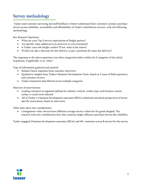## Survey methodology

Tusker used customer surveying and staff feedback to better understand their customers' primary purchase drivers across reliability, accessibility and affordability of Tusker's distribution services, with the following methodology.

Key Research Questions:

- What are your Top 3 service expectations of freight partner?
- Are specific value-added services attractive to your enterprise?
- Is Tusker your sole freight vendor? If not, what is the reason?
- Would you take a discount for late delivery or pay a premium for same day delivery?

The responses to the above questions were then categorised either within the 3 categories of the initial hypothesis, if applicable, or as "other".

Type of information gathered and method:

- Ranked choice responses from customer interviews
- Qualitative insights from Tusker's Business Development Team, based on 3 years of field experience and customer reviews
- Tusker transaction data filtered across multiple categories

Selection of interviewees:

- Leading customers in segments defined by industry vertical, vendor type, and location context (urban vs rural) were selected
- All of Tusker's 4 business development associates (BDAs) submitted anecdotal perspectives of sector specific motivations, based on interviews

Other data taken into consideration:

• Consignment value: Sectors have different average invoice values for the goods shipped. The research took into consideration how that variation might influence purchase drivers like reliability.

Tusker engaged 4 business development associates (BDAs) and 40+ customers across 8 sectors for this survey.

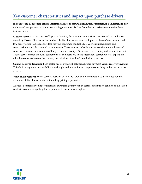## Key customer characteristics and impact upon purchase drivers

In order to study purchase drivers informing decisions of rural distribution customers, it is important to first understand key players and their overarching dynamics. Tusker from their experience summarise these traits as below:

Customer sector: In the course of 3 years of service, the customer composition has evolved in rural areas served by Tusker. Pharmaceutical and textile distributors were early adopters of Tusker's service and had low order values. Subsequently, fast-moving consumer goods (FMCG), agricultural supplies, and construction materials ascended in importance. These sectors traded in greater consignment volume and came with customer expectation of long-term relationships. At present, the 8 leading industry sectors that Tusker serves mirror the rural economy in its composition. In the subsequent section we will expand on what has come to characterise the varying priorities of each of these industry sectors.

Shipper-receiver dynamics: Each sector has its own split between shipper payment versus receiver payment. This shift in payment responsibility was thought to have an impact on price sensitivity and other purchase drivers.

Value chain position: Across sectors, position within the value chain also appears to affect need for and dynamics of distribution activity, including pricing expectation.

As such, a comparative understanding of purchasing behaviour by sector, distribution echelon and location context becomes compelling for its potential to draw more insights.

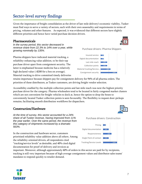## Sector-level survey findings

Given the importance of freight consolidation as the driver of last-mile delivery's economic viability, Tusker must find ways to serve a variety of sectors, each with their own seasonality and requirements in terms of pricing, volumes and other features. As expected, it was evidenced that different sectors have slightly different priorities and hence have varied purchase decision drivers.

### Pharmaceuticals

*In the survey period, this sector decreased in revenue share from 22.3% to 14% over a year, while growing nominally by 135%.*

Pharma shippers have indicated material tracking, a reliability-enhancing value addition, to be their top purchase driver apart from consignment security. The latter is emphasised because medicine has a relatively high declared value (>\$200 for a box on average). Material tracking to drive committed timely deliveries

100% Consignment security

retains importance because shippers pay for consignment delivery for 94% of all pharma orders. The priorities of these distributors, as Tusker customers, are driving freight vendor selection.

Accessibility enabled by the multiple collection points and last mile reach was next the highest priority purchase driver for the category. Pharma wholesalers tend to be located in fairly congested market clusters which are not convenient for freight vehicles to dock at, hence the option to drop the boxes to conveniently located Tusker collection points is seen favourably. The flexibility to request door-pickups remains, facilitating smooth distribution workflows for dispatchers.

## Construction/Hardware

*At the time of survey, this sector accounted for a 24% share of all Tusker revenue, having improved from 11% the year earlier. Over the same period, the revenue from this category of shipments increased by a dramatic 563%.* 

In the construction and hardware sector, customers prioritised reliability value addition above all others. Among the reliability-oriented drivers, all respondents cited "tracking/service levels" as desirable, and 40% cited digital documentation for proof-of-delivery and invoices as

important. Moreover, although approximately 60% of orders in this sector are paid for by recipients, tracking is still very important because of high average consignment values and distributor sales teams' mandates to respond quickly to retailer demand.

### Purchase drivers: Pharma Shippers









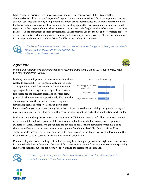Next in order of priority were survey responses indicative of service accessibility. Overall, the characterisation of Tusker as a "responsive" organisation was mentioned by 60% of the segments' customers, and 40% specified that having a single point of contact drove their satisfaction. As many construction and hardware customers are regional carrying-and-forwarding agents that are accountable for more detailed reporting to the corporate brands they represent, they expect their freight vendor to be aligned to the same practices. In the fulfillment of those expectations, Tusker partners use the mobile app to complete proof-ofdelivery formalities, which along with online waybill processing are categorised as "digital documentation" in the graph and cited as a purchase driver for 40% of respondents in the sector.

*"We know that if we have any question about service changes or billing, we can easily reach the same person we are familiar with" - Berger paints (Tusker customer)*

## **Agriculture**

*In the survey period, this sector increased in revenue share from 5.5% to 7.2% over a year, while growing nominally by 405%.*

In the agricultural inputs sector, service value-additions related to accessibility were unanimously appreciated. All respondents cited "last-mile reach" and "customer app" as purchase driving features. Apart from textiles, this sector has the highest percentage of orders being paid for by the receivers, at approximately 80%, and the sample represented the prevalence of carrying-andforwarding agents as shippers. Receiver-pay is often





indicative of the goods purchaser being the initiator of the transaction and relying on a great diversity of upstream suppliers for their business. In this case, the payer is not the party choosing the transport vendor

In this sector, another priority among the surveyed was "digital documentation". This comprises transport invoices, digitally uploaded proof-of-delivery receipts and online waybill processing with regulatory authorities. Often, informal freight vendors are not able to collate these documents which have to be shown as evidence if the business is to receive payment from higher level distribution offices. Finally, Tusker expects these larger regional enterprises to require reach to the deeper parts of the locality and that in comparison to other sectors, this is the most rural in orientation.

Demand is highly seasonal and agricultural inputs vary from being on par with the highest revenue sectors in July to its decline in December. Because of this, these enterprises don't maintain year-round dispatching and freight capacity, but look for strong vendors during the season of peak demand.



*"Tusker ships to many destinations that are not common for other services" - Biostadt Corporation (Agriculture input distributor)*

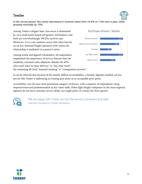## **Textiles**



In the survey period, this sector decreased in revenue share from 14.6% to 7.0% over a year, while *growing nominally by 79%.* 

Among Tusker's shipper base, this sector is dominated by very small multi-brand and generic wholesalers, and both are overwhelmingly (94.2%) receiver-pay. Moreover, it is a cost-sensitive sector that relies heavily on ad-hoc informal freight operators with whom the relationship is mediated via a porter's union.

Among textile and apparel wholesalers, all respondents emphasised the importance of service features that are reliability-oriented value additions. Besides the 67% who cited "door-to-door delivery" or "last-mile reach",

### Purchase drivers: Textile



the remaining all cited "material tracking" or "consignment security".

It can be inferred that because of the usually diffuse accountability, a formal, digitally enabled, ad-hoc service like Tusker is addressing an existing pain point at an acceptable price point.

Accessibility was the next most prioritised category of drivers, with a majority of respondents citing responsiveness and professionalism as key value-adds. Other light freight companies in the intra-regional segment do not have customer service desks, nor single point-of-contact for their queries.



*"We are happy with Tusker and find the service convenient and safe" - Manohar Handlooms (Textiles distributor)*

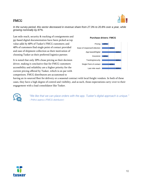## **FMCG**



*In the survey period, this sector decreased in revenue share from 27.3% to 20.8% over a year, while growing nominally by 87%.* 

Last mile reach, security & tracking of consignments and pp-based digital documentation have been picked as top value adds by 60% of Tusker's FMCG customers; and 40% of customers find single point of contact provided and ease of shipment collection as their motivation of choosing Tusker as their preferred logistics partner.

It is noted that only 20% chose pricing as their decision driver, making it conclusive that for FMCG customers accessibility and reliability are a higher priority for the current pricing offered by Tusker, which is on par with competitors. FMCG distributors are accustomed to

#### **Purchase drivers: FMCG**



having an in-sourced fleet for delivery or a seasonal contract with local freight vendors. In both of these cases, they have a high degree of control and visibility, and as such, those expectations carry-over to their engagement with a load consolidator like Tusker.



*"We like that we can place orders with the app. Tusker's digital approach is unique." - Prithvi agency (FMCG distributor)*

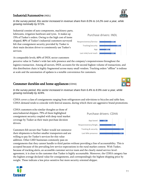## Industrial/Automotive (INDL)

*In the survey period, this sector increased in revenue share from 8.0% to 14.2% over a year, while growing nominally by 571%.* 

Industrial consists of auto components, machinery parts, lubricants, irrigation hardware and tyres. It makes up 15% of Tusker's orders. Owing to the high cost of items shipped, 80% of Tusker's industrial customers surveyed felt that consignment security provided by Tusker is their main decision driver to consistently use Tusker's services.

At comparable levels, 60% of INDL sector customers

perceive value in Tusker's wide last mile presence and the company's responsiveness throughout the logistics transaction. Among all sectors, INDL accounts for the second highest volume of transactions, and this distribution chain is highly fragmented across many small vendors. Tracking orders "offline" is tedious at scale and the automation of updates is a notable convenience for customers.

### Consumer durables and home appliances (CDHA)

*In the survey period, this sector increased in revenue share from 6.4% to 8.9% over a year, while growing nominally by 424%.* 

CDHA cover a class of consignments ranging from refrigerators and televisions to bicycles and table fans. CDHA demand tends to coincide with festival seasons, during which there are aggressive brand promotions.

CDHA customers echo similar thoughts as those of auto/industrial shippers. 75% of them highlighted consignment security coupled with deep rural market coverage by Tusker as their main purchase decision drivers.

Customers felt secure that Tusker would not outsource their shipments to further smaller transporters and are willing to pay for Tusker's services for this value addition. Other LMD businesses commonly pass on

tusker

consignments that they cannot handle to third parties without providing a line of accountability. This is accepted because of the prevailing low service expectations in the rural market context. With Tusker, because of tracking alerts, an accessible customer service team and the clearly stated service-levelagreement, it is clear to the customer that Tusker is highly accountable. Moreover, the CDHA category has the highest average declared value for consignments, and correspondingly the highest shipping price by weight. These indicate a less price-sensitive but more security oriented shipper.



Tracking & security Responsiveness/Single…

Last mile/rural reach

Tracking/security

Responsiveness/Service

App

App based







60%

60%

80%

40%

Purchase drivers: INDL

75%

50%

25%

Purchase drivers: CDHA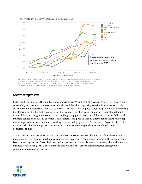

Top 7 Categories: Revenue (May 2018-May 2020)

The trend of sum of Price Actual for ACT\_CREATED\_ON Month. Color shows details about Product Category. The data is filtered on ACT\_CREATED\_ON and ACT\_CREATED\_ON Month. The ACT\_CREATED\_ON filter ranges from 01/02/2018 10:16:27 AM to 31/05/2020 8:29:00 PM. The ACT\_CREATED\_ON Month filter keeps January, May, August and December. The view is filtered on Product Category, which has multiple members selected.

### Sector comparisons

FMCG and Pharma were the top 2 sectors comprising 20.8% and 14% of revenue respectively, on average across the year. Both sectors have consistent demand, but due to growing traction in new sectors, their share of revenue decreased. They also comprise 24% and 14% of shipped weight respectively, demonstrating that Pharma has the highest revenue for unit of weight. The pharma customers have indicated reliability value addition – consignment security and tracking as top purchase drivers, followed by accessibility with multiple collection points, all of which Tusker offers. This gives Tusker insights to tailor their pitch to tap into new pharma customers while expanding to new rural geographies. A conclusion Tusker has been able to draw is that increase in pharma customers can increase revenue per shipped weight of overall consignment mix.

The FMCG sector is cost sensitive but relatively less time sensitive. Possibly due to tighter distribution margins in this sector, and merchandise value being less dense in comparison to some of the other sectors. Based on survey results, Tusker feel that their expansion into more disperse rural areas will win them more business from existing FMCG customers and this will inform Tusker's communication strategy on geographical coverage per sector.

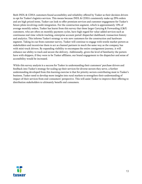Both INDL & CDHA customers found accessibility and reliability offered by Tusker as their decision drivers to opt for Tusker's logistics services. This means because INDL & CDHA consistently make up 25% orders and are high priced items, Tusker can look to offer premium services and customer engagement for Tusker's future pilots involving credit integration. For the construction segment, which is approximately 13% of average monthly orders, Tusker has learnt from this survey that these larger Carrying & Forwarding (C&F) customers, who are often on monthly payment cycles, have high regard for value-added services such as continuous real-time vehicle tracking, enterprise account portal/ dispatcher dashboard, transaction history and analytics. This informs Tusker's strategy to win new customers for the construction and hardware segment. Taking its cue from customer survey, Tusker will continue to engage with textile market porters as stakeholders and incentivise them to act as channel partners in much the same way as the company has with mini-truck drivers. By expanding visibility to encompass the entire consignment journey, it will enhance our ability to track and secure the delivery. Additionally, given the level of familiarity the porters have with shippers, if they were to be Tusker affiliates, our brand engagement to the dispatcher and sense of accessibility would be increased.

While this survey analysis is a success for Tusker in understanding their customers' purchase drivers and feedback into Tusker's strategy for scaling up their services for diverse sectors they serve, a further understanding developed from this learning exercise is that for priority sectors contributing most to Tusker's business, Tusker need to develop more insights into rural markets to strengthen their understanding of impact of their services from end-consumers' perspective. This will assist Tusker to improve their offering to distribution stakeholders to ultimately benefit end consumers.

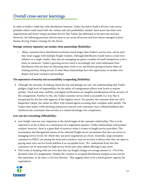In order to build a viable last-mile distribution business, Tusker has had to build a diverse cross-sector portfolio which could reach both the volume and unit profitability needed. Each sector has their own requirements and hence unique purchase drivers that Tusker has addressed in the previous sections. However, the following purchase drivers seem to cut across all sectors and have hence emerged as keen themes driving Tusker's strategy for the future:

#### Strategic territory expansion can escalate client partnerships (Reliability)

• Many customers have distribution territories much larger than Tusker's service area, and as such they must engage with multiple freight vendors. Although distributors would want to avoid overreliance on a single vendor, they also see managing too great a number of small transporters to be a drain on resources. Tusker's growing service reach is accordingly met with enthusiasm from distributors who are keen on allocating more work to us, and further giving exclusive share of existing territory being served. In time these relationships have the opportunity to escalate into deeper and more exclusive partnerships.

#### The expectation of security and accountability is expanding (Reliability)

• Although the necessity of making claims for loss and damage are rare, the understanding that Tusker pledges a high level of responsibility for the safety of consignments allows trust levels to mature quickly. Track and trace visibility and digital notifications are tangible manifestations of the security of the consignment. Further to this, the Tusker customer service desk is accessible in a way that is exceptional for the last-mile segment of the logistics sector. For queries, the customer does not call a dispatcher's depot, but rather an office with trained agents accessing their complete order details. The Tusker sales teams, while pitching transaction renewal with customers, have collated feedback that reinforces the conclusion that security is a valued advantage over competitors.

#### Low cost isn't everything (Affordability)

- Low freight rates are very important at the initial stages of the customer relationship. This is to be expected in so far as there is a continuance of a negotiation posture. Unlike relationships with product vendors, however, there is a great deal of turnover when it comes to freight service providers. The inconsistent and disorganised nature of the informal freight sector necessitates that they are active in managing service levels, for which they use price negotiation as a lever. Generally, large enterprise customers in FMCG are among the most price sensitive, and yet we have evidence that they are open to paying more once service levels stabilise at an acceptable level. We understand from this that customers can be motivated by high service levels and value-added offerings to pay more.
- This is also in keeping with our own data that our freight charges on average amount to <1% of the declared value of consignments. Despite the variance in accepted distribution margins across sectors, this represents, in all cases, a very low fraction. This suggests there to be a much greater capacity for expenditure.